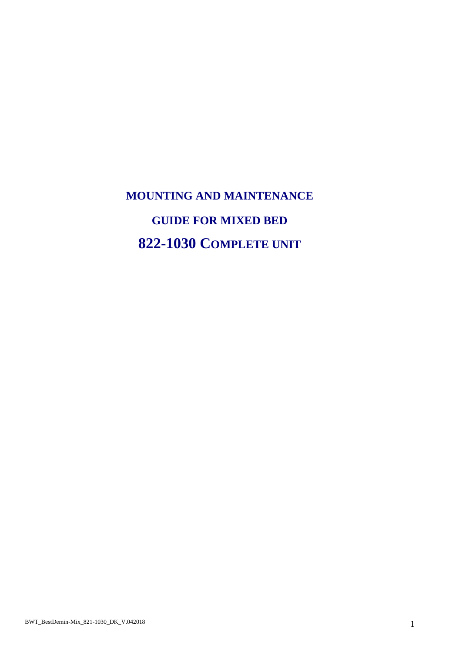# **MOUNTING AND MAINTENANCE GUIDE FOR MIXED BED 822-1030 COMPLETE UNIT**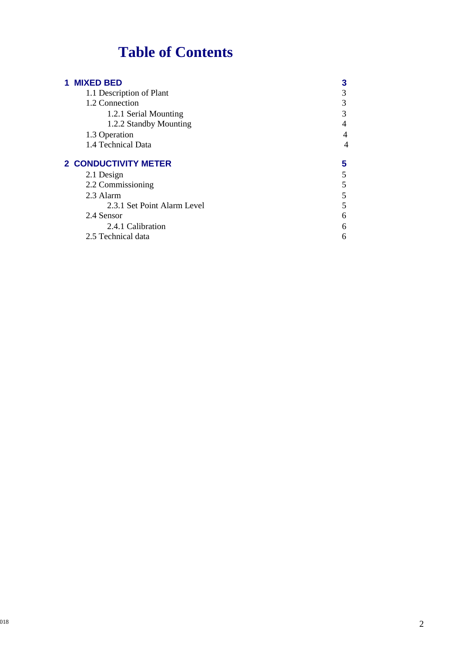# **Table of Contents**

| <b>1 MIXED BED</b>          | 3 |
|-----------------------------|---|
| 1.1 Description of Plant    | 3 |
| 1.2 Connection              | 3 |
| 1.2.1 Serial Mounting       | 3 |
| 1.2.2 Standby Mounting      | 4 |
| 1.3 Operation               | 4 |
| 1.4 Technical Data          | 4 |
|                             |   |
| <b>2 CONDUCTIVITY METER</b> | 5 |
| 2.1 Design                  | 5 |
| 2.2 Commissioning           | 5 |
| 2.3 Alarm                   | 5 |
| 2.3.1 Set Point Alarm Level | 5 |
| 2.4 Sensor                  | 6 |
| 2.4.1 Calibration           | 6 |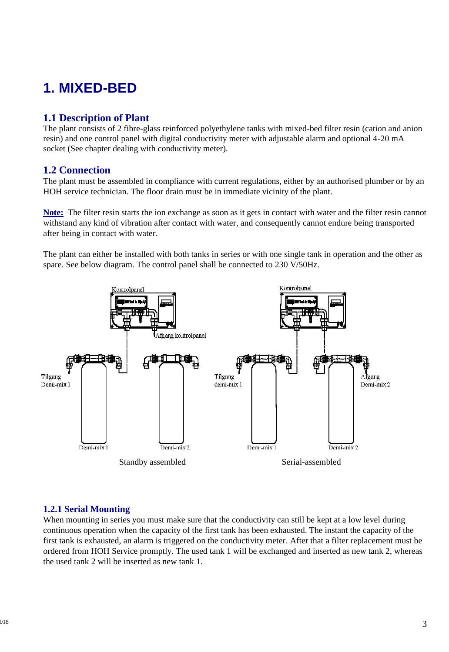# **1. MIXED-BED**

# **1.1 Description of Plant**

The plant consists of 2 fibre-glass reinforced polyethylene tanks with mixed-bed filter resin (cation and anion resin) and one control panel with digital conductivity meter with adjustable alarm and optional 4-20 mA socket (See chapter dealing with conductivity meter).

### **1.2 Connection**

The plant must be assembled in compliance with current regulations, either by an authorised plumber or by an HOH service technician. The floor drain must be in immediate vicinity of the plant.

**Note:** The filter resin starts the ion exchange as soon as it gets in contact with water and the filter resin cannot withstand any kind of vibration after contact with water, and consequently cannot endure being transported after being in contact with water.

The plant can either be installed with both tanks in series or with one single tank in operation and the other as spare. See below diagram. The control panel shall be connected to 230 V/50Hz.



#### **1.2.1 Serial Mounting**

When mounting in series you must make sure that the conductivity can still be kept at a low level during continuous operation when the capacity of the first tank has been exhausted. The instant the capacity of the first tank is exhausted, an alarm is triggered on the conductivity meter. After that a filter replacement must be ordered from HOH Service promptly. The used tank 1 will be exchanged and inserted as new tank 2, whereas the used tank 2 will be inserted as new tank 1.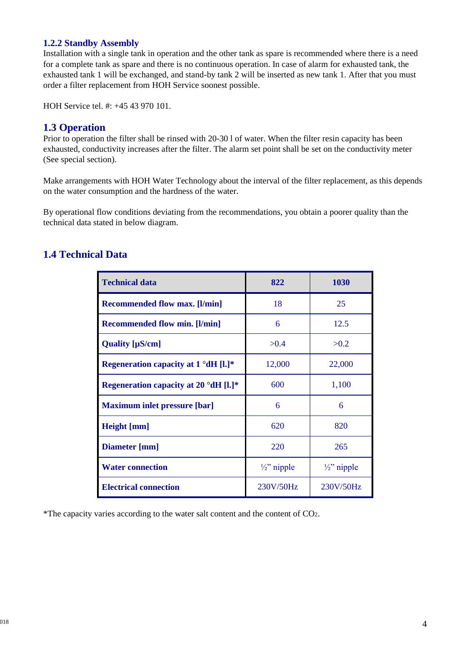#### **1.2.2 Standby Assembly**

Installation with a single tank in operation and the other tank as spare is recommended where there is a need for a complete tank as spare and there is no continuous operation. In case of alarm for exhausted tank, the exhausted tank 1 will be exchanged, and stand-by tank 2 will be inserted as new tank 1. After that you must order a filter replacement from HOH Service soonest possible.

HOH Service tel. #: +45 43 970 101.

## **1.3 Operation**

Prior to operation the filter shall be rinsed with 20-30 l of water. When the filter resin capacity has been exhausted, conductivity increases after the filter. The alarm set point shall be set on the conductivity meter (See special section).

Make arrangements with HOH Water Technology about the interval of the filter replacement, as this depends on the water consumption and the hardness of the water.

By operational flow conditions deviating from the recommendations, you obtain a poorer quality than the technical data stated in below diagram.

# **1.4 Technical Data**

| <b>Technical data</b>                        | 822                    | 1030                   |
|----------------------------------------------|------------------------|------------------------|
| <b>Recommended flow max.</b> [I/min]         | 18                     | 25                     |
| <b>Recommended flow min.</b> [I/min]         | 6                      | 12.5                   |
| Quality [µS/cm]                              | >0.4                   | >0.2                   |
| Regeneration capacity at $1^{\circ}dH$ [l.]* | 12,000                 | 22,000                 |
| Regeneration capacity at 20 °dH [l.]*        | 600                    | 1,100                  |
| <b>Maximum inlet pressure [bar]</b>          | 6                      | 6                      |
| Height [mm]                                  | 620                    | 820                    |
| Diameter [mm]                                | 220                    | 265                    |
| <b>Water connection</b>                      | $\frac{1}{2}$ " nipple | $\frac{1}{2}$ " nipple |
| <b>Electrical connection</b>                 | 230V/50Hz              | 230V/50Hz              |

\*The capacity varies according to the water salt content and the content of CO2.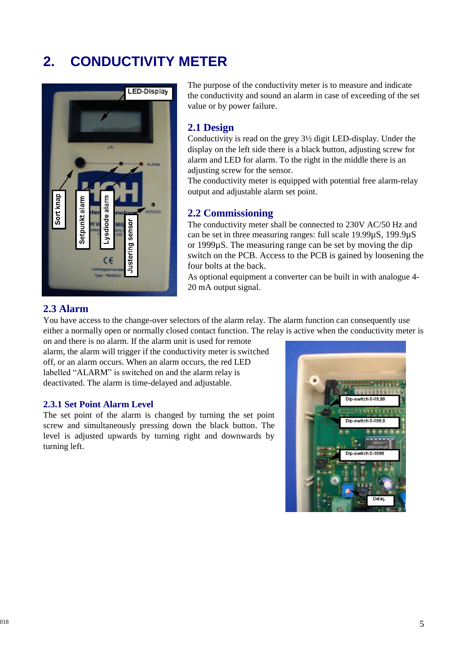# **2. CONDUCTIVITY METER**



The purpose of the conductivity meter is to measure and indicate the conductivity and sound an alarm in case of exceeding of the set value or by power failure.

#### **2.1 Design**

Conductivity is read on the grey 3½ digit LED-display. Under the display on the left side there is a black button, adjusting screw for alarm and LED for alarm. To the right in the middle there is an adjusting screw for the sensor.

The conductivity meter is equipped with potential free alarm-relay output and adjustable alarm set point.

### **2.2 Commissioning**

The conductivity meter shall be connected to 230V AC/50 Hz and can be set in three measuring ranges: full scale 19.99µS, 199.9µS or 1999µS. The measuring range can be set by moving the dip switch on the PCB. Access to the PCB is gained by loosening the four bolts at the back.

As optional equipment a converter can be built in with analogue 4- 20 mA output signal.

### **2.3 Alarm**

You have access to the change-over selectors of the alarm relay. The alarm function can consequently use either a normally open or normally closed contact function. The relay is active when the conductivity meter is

on and there is no alarm. If the alarm unit is used for remote alarm, the alarm will trigger if the conductivity meter is switched off, or an alarm occurs. When an alarm occurs, the red LED labelled "ALARM" is switched on and the alarm relay is deactivated. The alarm is time-delayed and adjustable.

#### **2.3.1 Set Point Alarm Level**

The set point of the alarm is changed by turning the set point screw and simultaneously pressing down the black button. The level is adjusted upwards by turning right and downwards by turning left.

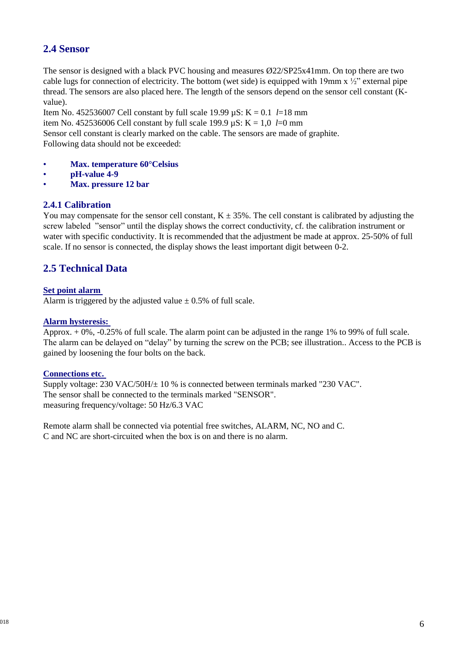# **2.4 Sensor**

The sensor is designed with a black PVC housing and measures Ø22/SP25x41mm. On top there are two cable lugs for connection of electricity. The bottom (wet side) is equipped with 19mm  $x \frac{1}{2}$ " external pipe thread. The sensors are also placed here. The length of the sensors depend on the sensor cell constant (Kvalue).

Item No. 452536007 Cell constant by full scale 19.99 µS: K = 0.1 *l*=18 mm item No. 452536006 Cell constant by full scale 199.9  $\mu$ S: K = 1,0 *l*=0 mm Sensor cell constant is clearly marked on the cable. The sensors are made of graphite. Following data should not be exceeded:

- **Max. temperature 60°Celsius**
- **pH-value 4-9**
- **Max. pressure 12 bar**

#### **2.4.1 Calibration**

You may compensate for the sensor cell constant,  $K \pm 35\%$ . The cell constant is calibrated by adjusting the screw labeled "sensor" until the display shows the correct conductivity, cf. the calibration instrument or water with specific conductivity. It is recommended that the adjustment be made at approx. 25-50% of full scale. If no sensor is connected, the display shows the least important digit between 0-2.

# **2.5 Technical Data**

#### **Set point alarm**

Alarm is triggered by the adjusted value  $\pm$  0.5% of full scale.

#### **Alarm hysteresis:**

Approx. + 0%, -0.25% of full scale. The alarm point can be adjusted in the range 1% to 99% of full scale. The alarm can be delayed on "delay" by turning the screw on the PCB; see illustration.. Access to the PCB is gained by loosening the four bolts on the back.

#### **Connections etc.**

Supply voltage:  $230 \text{ VAC}/50 \text{H}/\pm 10$  % is connected between terminals marked "230 VAC". The sensor shall be connected to the terminals marked "SENSOR". measuring frequency/voltage: 50 Hz/6.3 VAC

Remote alarm shall be connected via potential free switches, ALARM, NC, NO and C. C and NC are short-circuited when the box is on and there is no alarm.